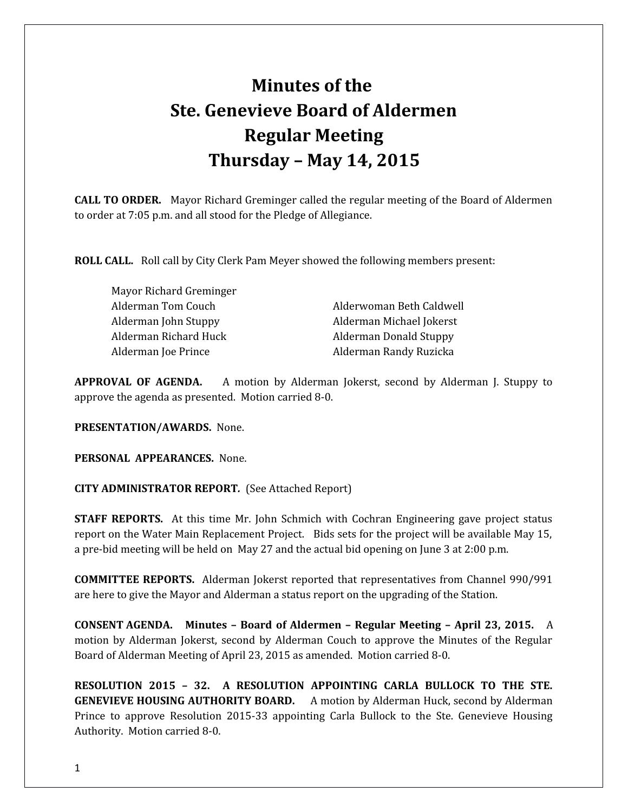## **Minutes of the Ste. Genevieve Board of Aldermen Regular Meeting Thursday – May 14, 2015**

**CALL TO ORDER.** Mayor Richard Greminger called the regular meeting of the Board of Aldermen to order at 7:05 p.m. and all stood for the Pledge of Allegiance.

**ROLL CALL.** Roll call by City Clerk Pam Meyer showed the following members present:

Mayor Richard Greminger Alderman Tom Couch **Alderwoman Beth Caldwell** Alderman John Stuppy Alderman Michael Jokerst Alderman Richard Huck Alderman Donald Stuppy Alderman Joe Prince **Alderman Randy Ruzicka** 

**APPROVAL OF AGENDA.** A motion by Alderman Jokerst, second by Alderman J. Stuppy to approve the agenda as presented. Motion carried 8-0.

**PRESENTATION/AWARDS.** None.

**PERSONAL APPEARANCES.** None.

**CITY ADMINISTRATOR REPORT***.* (See Attached Report)

**STAFF REPORTS.** At this time Mr. John Schmich with Cochran Engineering gave project status report on the Water Main Replacement Project. Bids sets for the project will be available May 15, a pre-bid meeting will be held on May 27 and the actual bid opening on June 3 at 2:00 p.m.

**COMMITTEE REPORTS.** Alderman Jokerst reported that representatives from Channel 990/991 are here to give the Mayor and Alderman a status report on the upgrading of the Station.

**CONSENT AGENDA. Minutes – Board of Aldermen – Regular Meeting – April 23, 2015.** A motion by Alderman Jokerst, second by Alderman Couch to approve the Minutes of the Regular Board of Alderman Meeting of April 23, 2015 as amended. Motion carried 8-0.

**RESOLUTION 2015 – 32. A RESOLUTION APPOINTING CARLA BULLOCK TO THE STE. GENEVIEVE HOUSING AUTHORITY BOARD.** A motion by Alderman Huck, second by Alderman Prince to approve Resolution 2015-33 appointing Carla Bullock to the Ste. Genevieve Housing Authority. Motion carried 8-0.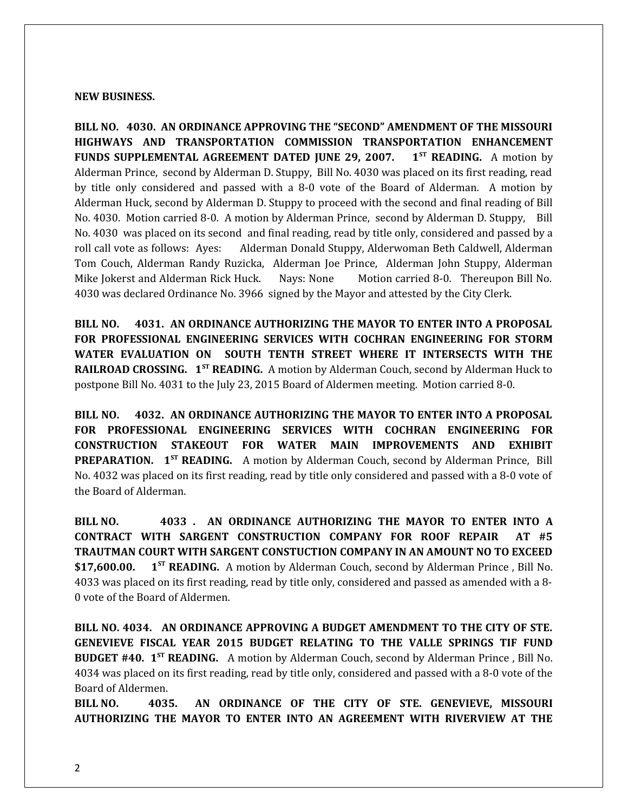## **NEW BUSINESS.**

**BILL NO. 4030. AN ORDINANCE APPROVING THE "SECOND" AMENDMENT OF THE MISSOURI HIGHWAYS AND TRANSPORTATION COMMISSION TRANSPORTATION ENHANCEMENT FUNDS SUPPLEMENTAL AGREEMENT DATED JUNE 29, 2007. 1ST READING.** A motion by Alderman Prince, second by Alderman D. Stuppy, Bill No. 4030 was placed on its first reading, read by title only considered and passed with a 8-0 vote of the Board of Alderman. A motion by Alderman Huck, second by Alderman D. Stuppy to proceed with the second and final reading of Bill No. 4030. Motion carried 8-0. A motion by Alderman Prince, second by Alderman D. Stuppy, Bill No. 4030 was placed on its second and final reading, read by title only, considered and passed by a roll call vote as follows: Ayes: Alderman Donald Stuppy, Alderwoman Beth Caldwell, Alderman Tom Couch, Alderman Randy Ruzicka, Alderman Joe Prince, Alderman John Stuppy, Alderman Mike Jokerst and Alderman Rick Huck. Nays: None Motion carried 8-0. Thereupon Bill No. 4030 was declared Ordinance No. 3966 signed by the Mayor and attested by the City Clerk.

**BILL NO. 4031. AN ORDINANCE AUTHORIZING THE MAYOR TO ENTER INTO A PROPOSAL FOR PROFESSIONAL ENGINEERING SERVICES WITH COCHRAN ENGINEERING FOR STORM WATER EVALUATION ON SOUTH TENTH STREET WHERE IT INTERSECTS WITH THE RAILROAD CROSSING. 1ST READING.** A motion by Alderman Couch, second by Alderman Huck to postpone Bill No. 4031 to the July 23, 2015 Board of Aldermen meeting. Motion carried 8-0.

**BILL NO. 4032. AN ORDINANCE AUTHORIZING THE MAYOR TO ENTER INTO A PROPOSAL FOR PROFESSIONAL ENGINEERING SERVICES WITH COCHRAN ENGINEERING FOR CONSTRUCTION STAKEOUT FOR WATER MAIN IMPROVEMENTS AND EXHIBIT PREPARATION. 1ST READING.** A motion by Alderman Couch, second by Alderman Prince, Bill No. 4032 was placed on its first reading, read by title only considered and passed with a 8-0 vote of the Board of Alderman.

**BILL NO. 4033 . AN ORDINANCE AUTHORIZING THE MAYOR TO ENTER INTO A CONTRACT WITH SARGENT CONSTRUCTION COMPANY FOR ROOF REPAIR AT #5 TRAUTMAN COURT WITH SARGENT CONSTUCTION COMPANY IN AN AMOUNT NO TO EXCEED \$17,600.00. 1ST READING.** A motion by Alderman Couch, second by Alderman Prince , Bill No. 4033 was placed on its first reading, read by title only, considered and passed as amended with a 8- 0 vote of the Board of Aldermen.

**BILL NO. 4034. AN ORDINANCE APPROVING A BUDGET AMENDMENT TO THE CITY OF STE. GENEVIEVE FISCAL YEAR 2015 BUDGET RELATING TO THE VALLE SPRINGS TIF FUND BUDGET #40. 1ST READING.** A motion by Alderman Couch, second by Alderman Prince , Bill No. 4034 was placed on its first reading, read by title only, considered and passed with a 8-0 vote of the Board of Aldermen.

**BILL NO. 4035. AN ORDINANCE OF THE CITY OF STE. GENEVIEVE, MISSOURI AUTHORIZING THE MAYOR TO ENTER INTO AN AGREEMENT WITH RIVERVIEW AT THE**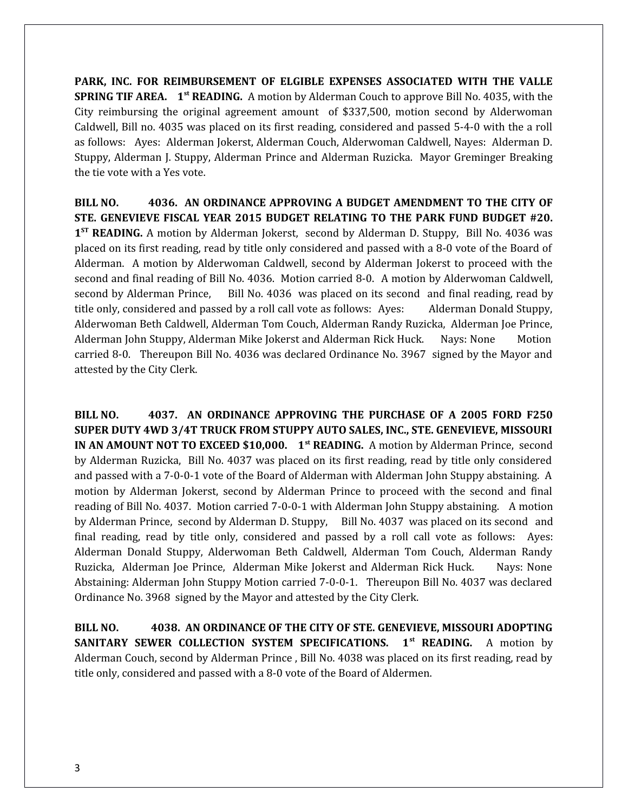**PARK, INC. FOR REIMBURSEMENT OF ELGIBLE EXPENSES ASSOCIATED WITH THE VALLE SPRING TIF AREA. 1st READING.** A motion by Alderman Couch to approve Bill No. 4035, with the City reimbursing the original agreement amount of \$337,500, motion second by Alderwoman Caldwell, Bill no. 4035 was placed on its first reading, considered and passed 5-4-0 with the a roll as follows: Ayes: Alderman Jokerst, Alderman Couch, Alderwoman Caldwell, Nayes: Alderman D. Stuppy, Alderman J. Stuppy, Alderman Prince and Alderman Ruzicka. Mayor Greminger Breaking the tie vote with a Yes vote.

**BILL NO. 4036. AN ORDINANCE APPROVING A BUDGET AMENDMENT TO THE CITY OF STE. GENEVIEVE FISCAL YEAR 2015 BUDGET RELATING TO THE PARK FUND BUDGET #20.** 1<sup>ST</sup> READING. A motion by Alderman Jokerst, second by Alderman D. Stuppy, Bill No. 4036 was placed on its first reading, read by title only considered and passed with a 8-0 vote of the Board of Alderman. A motion by Alderwoman Caldwell, second by Alderman Jokerst to proceed with the second and final reading of Bill No. 4036. Motion carried 8-0. A motion by Alderwoman Caldwell, second by Alderman Prince, Bill No. 4036 was placed on its second and final reading, read by title only, considered and passed by a roll call vote as follows: Ayes: Alderman Donald Stuppy, Alderwoman Beth Caldwell, Alderman Tom Couch, Alderman Randy Ruzicka, Alderman Joe Prince, Alderman John Stuppy, Alderman Mike Jokerst and Alderman Rick Huck. Nays: None Motion carried 8-0. Thereupon Bill No. 4036 was declared Ordinance No. 3967 signed by the Mayor and attested by the City Clerk.

**BILL NO. 4037. AN ORDINANCE APPROVING THE PURCHASE OF A 2005 FORD F250 SUPER DUTY 4WD 3/4T TRUCK FROM STUPPY AUTO SALES, INC., STE. GENEVIEVE, MISSOURI IN AN AMOUNT NOT TO EXCEED \$10,000.** 1<sup>st</sup> **READING.** A motion by Alderman Prince, second by Alderman Ruzicka, Bill No. 4037 was placed on its first reading, read by title only considered and passed with a 7-0-0-1 vote of the Board of Alderman with Alderman John Stuppy abstaining. A motion by Alderman Jokerst, second by Alderman Prince to proceed with the second and final reading of Bill No. 4037. Motion carried 7-0-0-1 with Alderman John Stuppy abstaining. A motion by Alderman Prince, second by Alderman D. Stuppy, Bill No. 4037 was placed on its second and final reading, read by title only, considered and passed by a roll call vote as follows: Ayes: Alderman Donald Stuppy, Alderwoman Beth Caldwell, Alderman Tom Couch, Alderman Randy Ruzicka, Alderman Joe Prince, Alderman Mike Jokerst and Alderman Rick Huck. Nays: None Abstaining: Alderman John Stuppy Motion carried 7-0-0-1. Thereupon Bill No. 4037 was declared Ordinance No. 3968 signed by the Mayor and attested by the City Clerk.

**BILL NO. 4038. AN ORDINANCE OF THE CITY OF STE. GENEVIEVE, MISSOURI ADOPTING SANITARY SEWER COLLECTION SYSTEM SPECIFICATIONS. 1st READING.** A motion by Alderman Couch, second by Alderman Prince , Bill No. 4038 was placed on its first reading, read by title only, considered and passed with a 8-0 vote of the Board of Aldermen.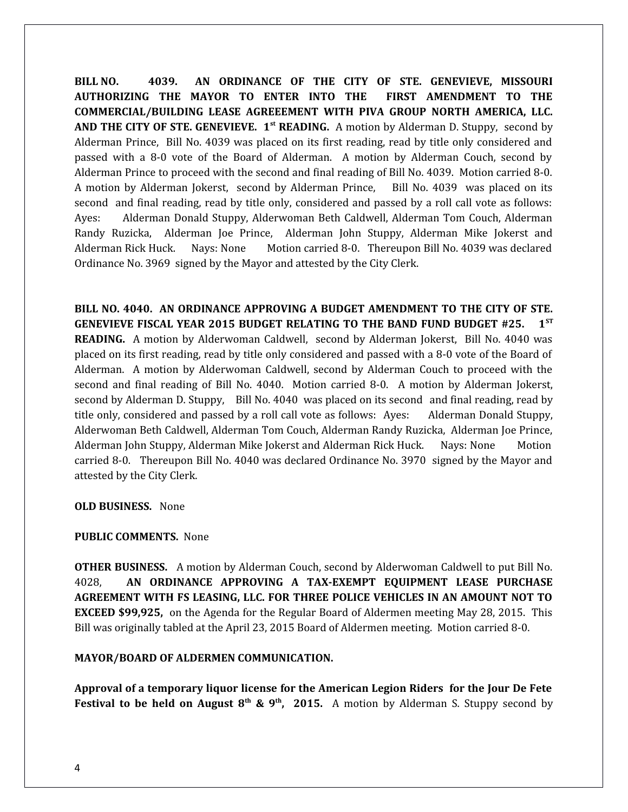**BILL NO. 4039. AN ORDINANCE OF THE CITY OF STE. GENEVIEVE, MISSOURI AUTHORIZING THE MAYOR TO ENTER INTO THE FIRST AMENDMENT TO THE COMMERCIAL/BUILDING LEASE AGREEEMENT WITH PIVA GROUP NORTH AMERICA, LLC. AND THE CITY OF STE. GENEVIEVE. 1st READING.** A motion by Alderman D. Stuppy, second by Alderman Prince, Bill No. 4039 was placed on its first reading, read by title only considered and passed with a 8-0 vote of the Board of Alderman. A motion by Alderman Couch, second by Alderman Prince to proceed with the second and final reading of Bill No. 4039. Motion carried 8-0. A motion by Alderman Jokerst, second by Alderman Prince, Bill No. 4039 was placed on its second and final reading, read by title only, considered and passed by a roll call vote as follows: Ayes: Alderman Donald Stuppy, Alderwoman Beth Caldwell, Alderman Tom Couch, Alderman Randy Ruzicka, Alderman Joe Prince, Alderman John Stuppy, Alderman Mike Jokerst and Alderman Rick Huck. Nays: None Motion carried 8-0. Thereupon Bill No. 4039 was declared Ordinance No. 3969 signed by the Mayor and attested by the City Clerk.

**BILL NO. 4040. AN ORDINANCE APPROVING A BUDGET AMENDMENT TO THE CITY OF STE. GENEVIEVE FISCAL YEAR 2015 BUDGET RELATING TO THE BAND FUND BUDGET #25. 1ST READING.** A motion by Alderwoman Caldwell, second by Alderman Jokerst, Bill No. 4040 was placed on its first reading, read by title only considered and passed with a 8-0 vote of the Board of Alderman. A motion by Alderwoman Caldwell, second by Alderman Couch to proceed with the second and final reading of Bill No. 4040. Motion carried 8-0. A motion by Alderman Jokerst, second by Alderman D. Stuppy, Bill No. 4040 was placed on its second and final reading, read by title only, considered and passed by a roll call vote as follows: Ayes: Alderman Donald Stuppy, Alderwoman Beth Caldwell, Alderman Tom Couch, Alderman Randy Ruzicka, Alderman Joe Prince, Alderman John Stuppy, Alderman Mike Jokerst and Alderman Rick Huck. Nays: None Motion carried 8-0. Thereupon Bill No. 4040 was declared Ordinance No. 3970 signed by the Mayor and attested by the City Clerk.

**OLD BUSINESS.** None

## **PUBLIC COMMENTS.** None

**OTHER BUSINESS.** A motion by Alderman Couch, second by Alderwoman Caldwell to put Bill No. 4028, **AN ORDINANCE APPROVING A TAX-EXEMPT EQUIPMENT LEASE PURCHASE AGREEMENT WITH FS LEASING, LLC. FOR THREE POLICE VEHICLES IN AN AMOUNT NOT TO EXCEED \$99,925,** on the Agenda for the Regular Board of Aldermen meeting May 28, 2015. This Bill was originally tabled at the April 23, 2015 Board of Aldermen meeting. Motion carried 8-0.

## **MAYOR/BOARD OF ALDERMEN COMMUNICATION.**

**Approval of a temporary liquor license for the American Legion Riders for the Jour De Fete Festival to be held on August 8th & 9th, 2015.** A motion by Alderman S. Stuppy second by